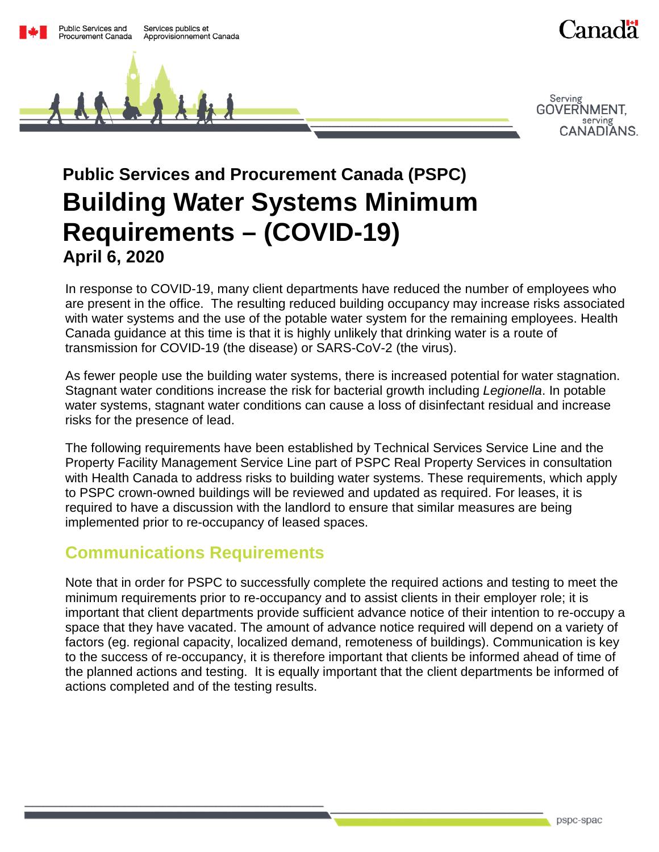

# **Public Services and Procurement Canada (PSPC) Building Water Systems Minimum Requirements – (COVID-19) April 6, 2020**

In response to COVID-19, many client departments have reduced the number of employees who are present in the office. The resulting reduced building occupancy may increase risks associated with water systems and the use of the potable water system for the remaining employees. Health Canada guidance at this time is that it is highly unlikely that drinking water is a route of transmission for COVID-19 (the disease) or SARS-CoV-2 (the virus).

As fewer people use the building water systems, there is increased potential for water stagnation. Stagnant water conditions increase the risk for bacterial growth including *Legionella*. In potable water systems, stagnant water conditions can cause a loss of disinfectant residual and increase risks for the presence of lead.

The following requirements have been established by Technical Services Service Line and the Property Facility Management Service Line part of PSPC Real Property Services in consultation with Health Canada to address risks to building water systems. These requirements, which apply to PSPC crown-owned buildings will be reviewed and updated as required. For leases, it is required to have a discussion with the landlord to ensure that similar measures are being implemented prior to re-occupancy of leased spaces.

# **Communications Requirements**

Note that in order for PSPC to successfully complete the required actions and testing to meet the minimum requirements prior to re-occupancy and to assist clients in their employer role; it is important that client departments provide sufficient advance notice of their intention to re-occupy a space that they have vacated. The amount of advance notice required will depend on a variety of factors (eg. regional capacity, localized demand, remoteness of buildings). Communication is key to the success of re-occupancy, it is therefore important that clients be informed ahead of time of the planned actions and testing. It is equally important that the client departments be informed of actions completed and of the testing results.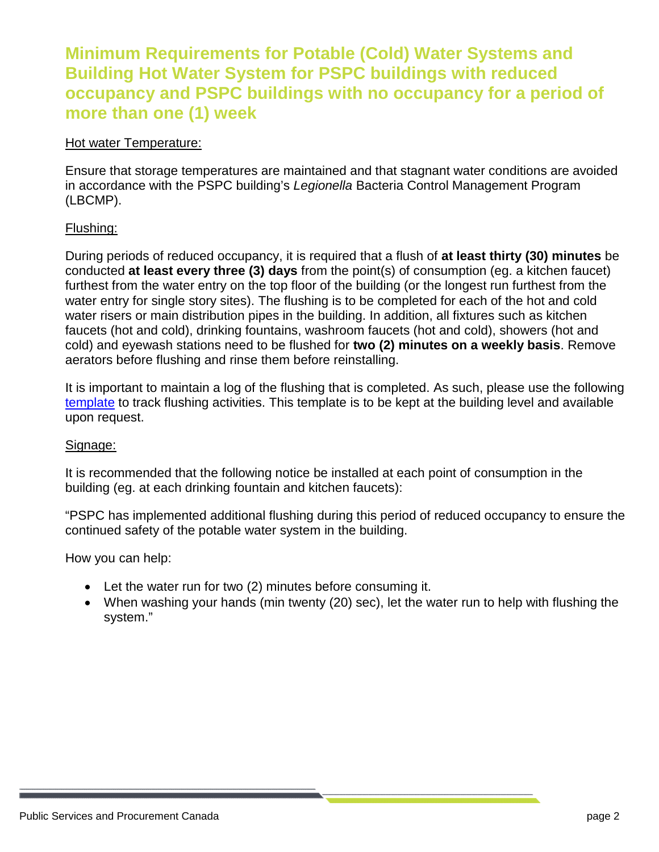### **Minimum Requirements for Potable (Cold) Water Systems and Building Hot Water System for PSPC buildings with reduced occupancy and PSPC buildings with no occupancy for a period of more than one (1) week**

#### Hot water Temperature:

Ensure that storage temperatures are maintained and that stagnant water conditions are avoided in accordance with the PSPC building's *Legionella* Bacteria Control Management Program (LBCMP).

#### Flushing:

During periods of reduced occupancy, it is required that a flush of **at least thirty (30) minutes** be conducted **at least every three (3) days** from the point(s) of consumption (eg. a kitchen faucet) furthest from the water entry on the top floor of the building (or the longest run furthest from the water entry for single story sites). The flushing is to be completed for each of the hot and cold water risers or main distribution pipes in the building. In addition, all fixtures such as kitchen faucets (hot and cold), drinking fountains, washroom faucets (hot and cold), showers (hot and cold) and eyewash stations need to be flushed for **two (2) minutes on a weekly basis**. Remove aerators before flushing and rinse them before reinstalling.

It is important to maintain a log of the flushing that is completed. As such, please use the following [template](https://gcdocs.gc.ca/tpsgc-pwgsc/llisapi.dll/open/251141426) to track flushing activities. This template is to be kept at the building level and available upon request.

#### Signage:

It is recommended that the following notice be installed at each point of consumption in the building (eg. at each drinking fountain and kitchen faucets):

"PSPC has implemented additional flushing during this period of reduced occupancy to ensure the continued safety of the potable water system in the building.

How you can help:

- Let the water run for two (2) minutes before consuming it.
- When washing your hands (min twenty (20) sec), let the water run to help with flushing the system."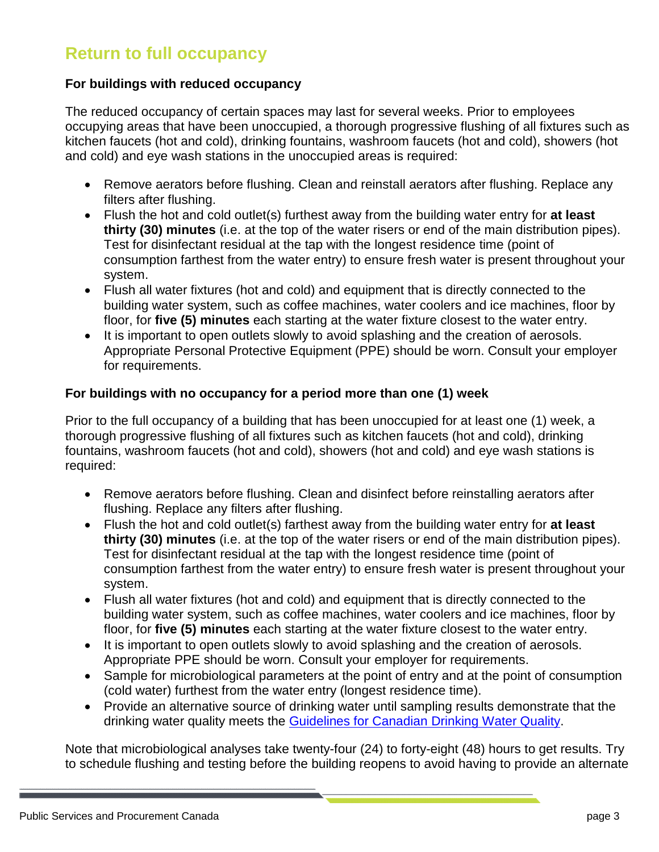# **Return to full occupancy**

#### **For buildings with reduced occupancy**

The reduced occupancy of certain spaces may last for several weeks. Prior to employees occupying areas that have been unoccupied, a thorough progressive flushing of all fixtures such as kitchen faucets (hot and cold), drinking fountains, washroom faucets (hot and cold), showers (hot and cold) and eye wash stations in the unoccupied areas is required:

- Remove aerators before flushing. Clean and reinstall aerators after flushing. Replace any filters after flushing.
- Flush the hot and cold outlet(s) furthest away from the building water entry for **at least thirty (30) minutes** (i.e. at the top of the water risers or end of the main distribution pipes). Test for disinfectant residual at the tap with the longest residence time (point of consumption farthest from the water entry) to ensure fresh water is present throughout your system.
- Flush all water fixtures (hot and cold) and equipment that is directly connected to the building water system, such as coffee machines, water coolers and ice machines, floor by floor, for **five (5) minutes** each starting at the water fixture closest to the water entry.
- It is important to open outlets slowly to avoid splashing and the creation of aerosols. Appropriate Personal Protective Equipment (PPE) should be worn. Consult your employer for requirements.

#### **For buildings with no occupancy for a period more than one (1) week**

Prior to the full occupancy of a building that has been unoccupied for at least one (1) week, a thorough progressive flushing of all fixtures such as kitchen faucets (hot and cold), drinking fountains, washroom faucets (hot and cold), showers (hot and cold) and eye wash stations is required:

- Remove aerators before flushing. Clean and disinfect before reinstalling aerators after flushing. Replace any filters after flushing.
- Flush the hot and cold outlet(s) farthest away from the building water entry for **at least thirty (30) minutes** (i.e. at the top of the water risers or end of the main distribution pipes). Test for disinfectant residual at the tap with the longest residence time (point of consumption farthest from the water entry) to ensure fresh water is present throughout your system.
- Flush all water fixtures (hot and cold) and equipment that is directly connected to the building water system, such as coffee machines, water coolers and ice machines, floor by floor, for **five (5) minutes** each starting at the water fixture closest to the water entry.
- It is important to open outlets slowly to avoid splashing and the creation of aerosols. Appropriate PPE should be worn. Consult your employer for requirements.
- Sample for microbiological parameters at the point of entry and at the point of consumption (cold water) furthest from the water entry (longest residence time).
- Provide an alternative source of drinking water until sampling results demonstrate that the drinking water quality meets the [Guidelines for Canadian Drinking Water Quality.](https://www.canada.ca/en/health-canada/services/environmental-workplace-health/reports-publications/water-quality/guidelines-canadian-drinking-water-quality-summary-table.html)

Note that microbiological analyses take twenty-four (24) to forty-eight (48) hours to get results. Try to schedule flushing and testing before the building reopens to avoid having to provide an alternate